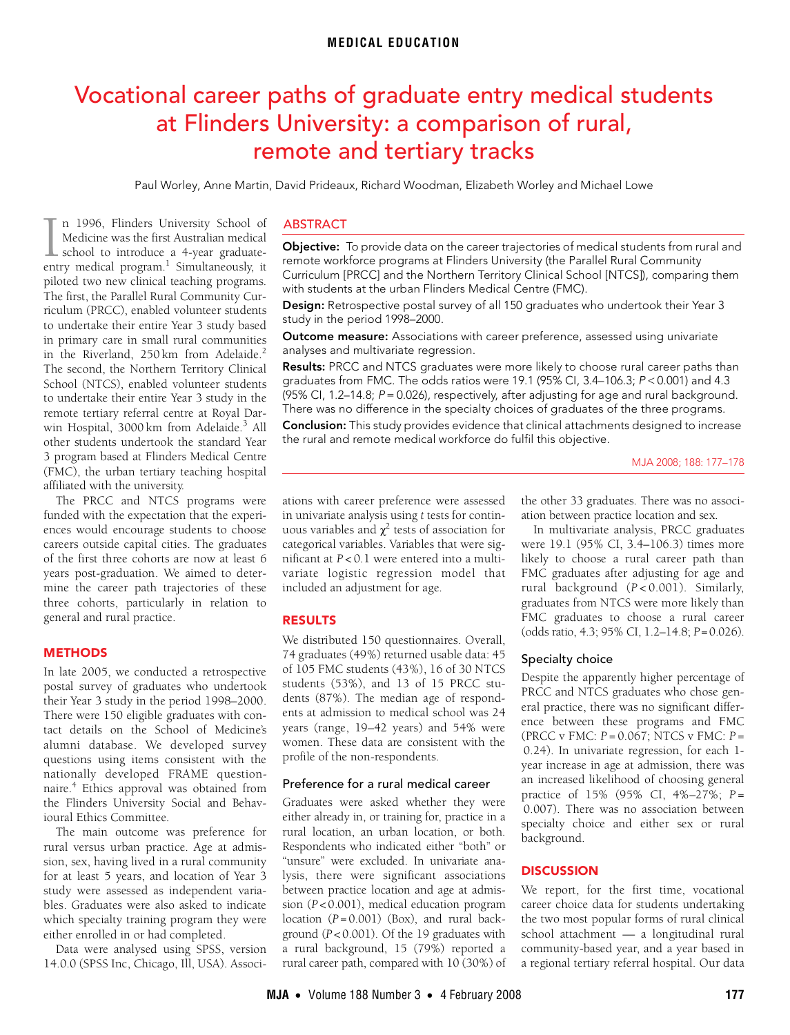# <span id="page-0-0"></span>Vocational career paths of graduate entry medical students at Flinders University: a comparison of rural, remote and tertiary tracks

Paul Worley, Anne Martin, David Prideaux, Richard Woodman, Elizabeth Worley and Michael Lowe

The first, the Parallel Rural Community Curriculum (PRCC), enabled volunteer stu[dents](#page-0-0) [to undert](#page-1-4)ake their entire Year 3 study based in primary care in small rural communities in the Riverland, [2](#page-1-1)50 km from Adelaide.<sup>2</sup> In the Kiverland, 250 km from Adelaide.<br>The second, the Northern Territory Clinical n 1996, Flinders University School of Medicine was the first Australian medical **L** school to introduce a 4-year graduate-In [1](#page-1-0)996, Flinders University School of Medicine was the first Australian medical school to introduce a 4-year graduate-<br>entry medical program.<sup>1</sup> Simultaneously, it piloted two new clinical teaching programs. School (NTCS), enabled volunteer students to undertake their entire Year 3 study in the remote tertiary referral centre at Royal Dar-win Hospital, [3](#page-1-2)000 km from Adelaide.<sup>3</sup> All other students undertook the standard Year 3 program based at Flinders Medical Centre (FMC), the urban tertiary teaching hospital affiliated with the university.

The PRCC and NTCS programs were funded with the expectation that the experiences would encourage students to choose careers outside capital cities. The graduates of the first three cohorts are now at least 6 years post-graduation. We aimed to determine the career path trajectories of these three cohorts, particularly in relation to general and rural practice.

#### **METHODS**

In late 2005, we conducted a retrospective postal survey of graduates who undertook their Year 3 study in the period 1998–2000. There were 150 eligible graduates with contact details on the School of Medicine's alumni database. We developed survey questions using items consistent with the nationally developed FRAME questionnaire[.4](#page-1-3) Ethics approval was obtained from the Flinders University Social and Behavioural Ethics Committee.

The main outcome was preference for rural versus urban practice. Age at admission, sex, having lived in a rural community for at least 5 years, and location of Year 3 study were assessed as independent variables. Graduates were also asked to indicate which specialty training program they were either enrolled in or had completed.

Data were analysed using SPSS, version 14.0.0 (SPSS Inc, Chicago, Ill, USA). Associ-

## ABSTRACT

Objective: To provide data on the career trajectories of medical students from rural and remote workforce programs at Flinders University (the Parallel Rural Community Curriculum [PRCC] and the Northern Territory Clinical School [NTCS]), comparing them with students at the urban Flinders Medical Centre (FMC).

Design: Retrospective postal survey of all 150 graduates who undertook their Year 3 study in the period 1998–2000.

Outcome measure: Associations with career preference, assessed using univariate analyses and multivariate regression.

Results: PRCC and NTCS graduates were more likely to choose rural career paths than graduates from FMC. The odds ratios were 19.1 (95% CI, 3.4–106.3; P < 0.001) and 4.3  $(95\%$  Cl, 1.2–14.8;  $P = 0.026$ ), respectively, after adjusting for age and rural background. There was no difference in the specialty choices of graduates of the three programs.

**Conclusion:** This study provides evidence that clinical attachments designed to increase the rural and remote medical workforce do fulfil this objective.

ations with career preference were assessed in univariate analysis using *t* tests for continuous variables and  $\chi^2$  tests of association for categorical variables. Variables that were significant at *P* < 0.1 were entered into a multivariate logistic regression model that included an adjustment for age.

#### RESULTS

We distributed 150 questionnaires. Overall, 74 graduates (49%) returned usable data: 45 of 105 FMC students (43%), 16 of 30 NTCS students (53%), and 13 of 15 PRCC students (87%). The median age of respondents at admission to medical school was 24 years (range, 19–42 years) and 54% were women. These data are consistent with the profile of the non-respondents.

## Preference for a rural medical career

Graduates were asked whether they were either already in, or training for, practice in a rural location, an urban location, or both. Respondents who indicated either "both" or "unsure" were excluded. In univariate analysis, there were significant associations between practice location and age at admission (*P* < 0.001), medical education program location (*P* = 0.001) (Box), and rural background (*P* < 0.001). Of the 19 graduates with a rural background, 15 (79%) reported a rural career path, compared with 10 (30%) of the other 33 graduates. There was no association between practice location and sex.

In multivariate analysis, PRCC graduates were 19.1 (95% CI, 3.4–106.3) times more likely to choose a rural career path than FMC graduates after adjusting for age and rural background (*P* < 0.001). Similarly, graduates from NTCS were more likely than FMC graduates to choose a rural career (odds ratio, 4.3; 95% CI, 1.2–14.8; *P*=0.026).

#### Specialty choice

Despite the apparently higher percentage of PRCC and NTCS graduates who chose general practice, there was no significant difference between these programs and FMC (PRCC v FMC: *P* = 0.067; NTCS v FMC: *P* = 0.24). In univariate regression, for each 1 year increase in age at admission, there was an increased likelihood of choosing general practice of 15% (95% CI, 4%–27%; *P* = 0.007). There was no association between specialty choice and either sex or rural background.

## **DISCUSSION**

We report, for the first time, vocational career choice data for students undertaking the two most popular forms of rural clinical school attachment — a longitudinal rural community-based year, and a year based in a regional tertiary referral hospital. Our data

MJA 2008; 188: 177–178